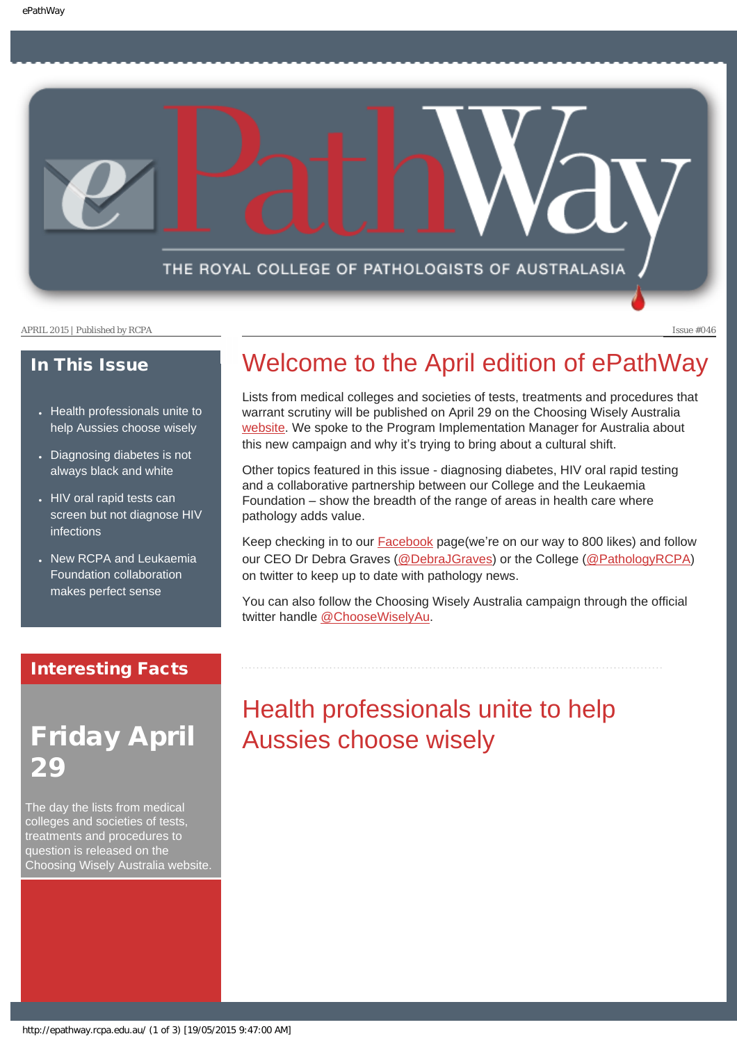THE ROYAL COLLEGE OF PATHOLOGISTS OF AUSTRALASIA

APRIL 2015 | Published by RCPA Issue #046

### In This Issue

- [Health professionals unite to](#page-0-0) [help Aussies choose wisely](#page-0-0)
- [Diagnosing diabetes is not](#page-1-0) [always black and white](#page-1-0)
- HIV oral rapid tests can [screen but not diagnose HIV](#page-1-1) [infections](#page-1-1)
- New RCPA and Leukaemia [Foundation collaboration](#page-2-0)  [makes perfect sense](#page-2-0)

### Interesting Facts

# <span id="page-0-0"></span>Friday April 29

The day the lists from medical colleges and societies of tests, treatments and procedures to question is released on the Choosing Wisely Australia website.

### Welcome to the April edition of ePathWay

Lists from medical colleges and societies of tests, treatments and procedures that warrant scrutiny will be published on April 29 on the Choosing Wisely Australia [website](http://www.choosingwisely.org.au/cwa/index.html). We spoke to the Program Implementation Manager for Australia about this new campaign and why it's trying to bring about a cultural shift.

Other topics featured in this issue - diagnosing diabetes, HIV oral rapid testing and a collaborative partnership between our College and the Leukaemia Foundation – show the breadth of the range of areas in health care where pathology adds value.

Keep checking in to our [Facebook](https://www.facebook.com/TheRoyalCollegeOfPathologistsOfAustralasia) page(we're on our way to 800 likes) and follow our CEO Dr Debra Graves [\(@DebraJGraves](https://twitter.com/DebraJGraves)) or the College [\(@PathologyRCPA\)](https://twitter.com/PathologyRCPA) on twitter to keep up to date with pathology news.

You can also follow the Choosing Wisely Australia campaign through the official twitter handle [@ChooseWiselyAu](https://twitter.com/ChooseWiselyAu).

## Health professionals unite to help Aussies choose wisely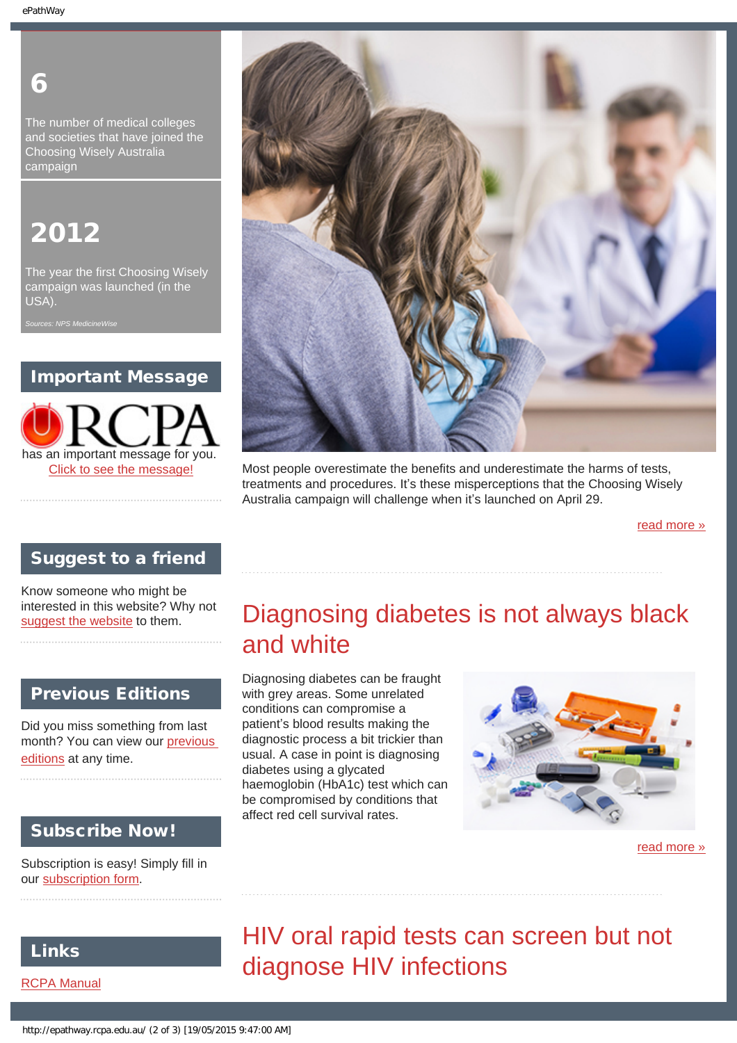### 6

The number of medical colleges and societies that have joined the Choosing Wisely Australia campaign

### 2012

The year the first Choosing Wisely campaign was launched (in the USA).

*Sources: NPS MedicineWise*



has an important message for you. [Click to see the message!](http://epathway.rcpa.edu.au/notice.html)



Most people overestimate the benefits and underestimate the harms of tests, treatments and procedures. It's these misperceptions that the Choosing Wisely Australia campaign will challenge when it's launched on April 29.

[read more »](#page-5-0)

### Suggest to a friend

<span id="page-1-0"></span>Know someone who might be interested in this website? Why not [suggest the website](mailto:?Subject=I%20think%20you%20should%20read%20this%20Newsletter=
http://epathway.rcpa.edu.au/index.html) to them.

### Previous Editions

Did you miss something from last month? You can view our previous [editions](#page-3-0) at any time.

### Subscribe Now!

Subscription is easy! Simply fill in our [subscription form](http://epathway.rcpa.edu.au/subscription.html).

# Diagnosing diabetes is not always black and white

Diagnosing diabetes can be fraught with grey areas. Some unrelated conditions can compromise a patient's blood results making the diagnostic process a bit trickier than usual. A case in point is diagnosing diabetes using a glycated haemoglobin (HbA1c) test which can be compromised by conditions that affect red cell survival rates.



[read more »](#page-7-0)

# HIV oral rapid tests can screen but not diagnose HIV infections

<span id="page-1-1"></span>Links

[RCPA Manual](http://rcpamanual.edu.au/)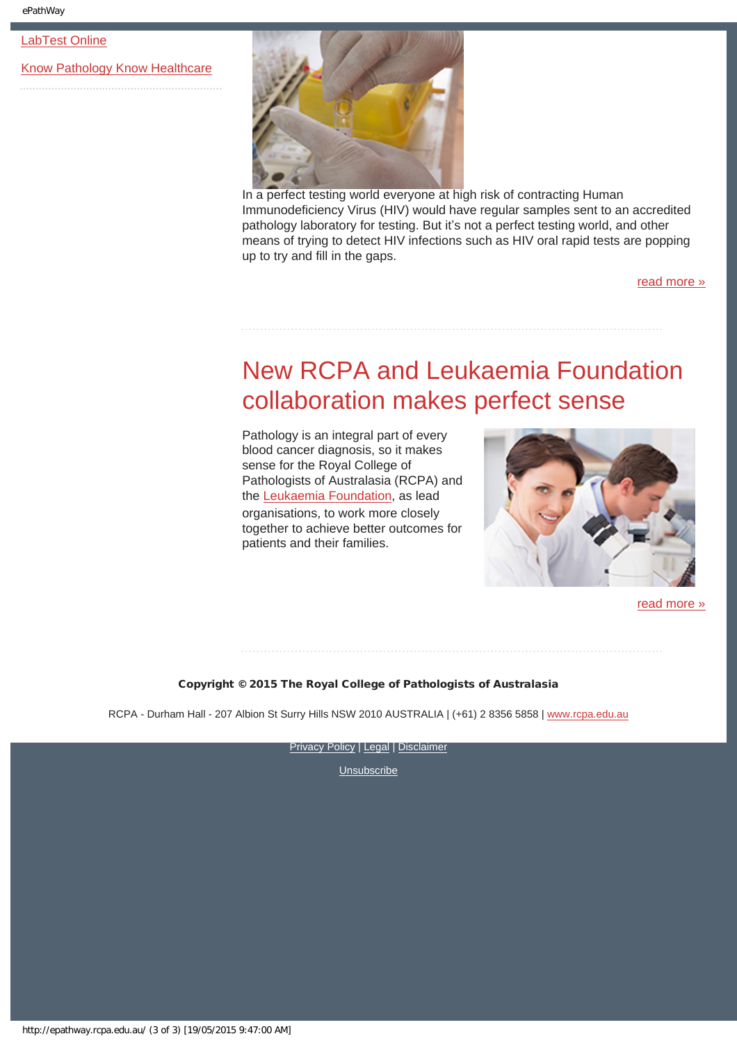#### [LabTest Online](http://www.labtestsonline.org.au/)

[Know Pathology Know Healthcare](http://knowpathology.com.au/) 



In a perfect testing world everyone at high risk of contracting Human Immunodeficiency Virus (HIV) would have regular samples sent to an accredited pathology laboratory for testing. But it's not a perfect testing world, and other means of trying to detect HIV infections such as HIV oral rapid tests are popping up to try and fill in the gaps.

[read more »](#page-9-0)

# <span id="page-2-0"></span>New RCPA and Leukaemia Foundation collaboration makes perfect sense

Pathology is an integral part of every blood cancer diagnosis, so it makes sense for the Royal College of Pathologists of Australasia (RCPA) and the [Leukaemia Foundation](http://www.leukaemia.org.au/), as lead organisations, to work more closely together to achieve better outcomes for patients and their families.



[read more »](#page-11-0)

#### Copyright © 2015 The Royal College of Pathologists of Australasia

RCPA - Durham Hall - 207 Albion St Surry Hills NSW 2010 AUSTRALIA | (+61) 2 8356 5858 | [www.rcpa.edu.au](http://www.rcpa.edu.au/)

[Privacy Policy](http://www.rcpa.edu.au/Content-Library/Privacy.aspx) | [Legal](http://www.rcpa.edu.au/Legal.aspx) | [Disclaimer](http://www.rcpa.edu.au/Disclaimer.aspx)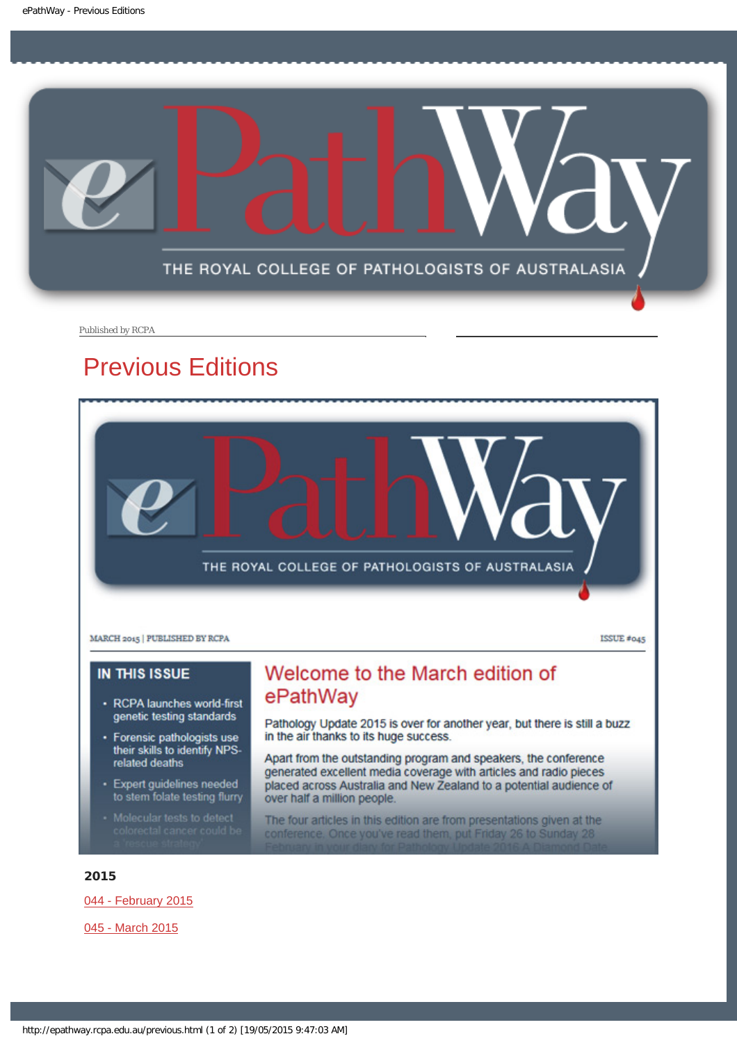<span id="page-3-0"></span>

Published by RCPA

### Previous Editions



#### **IN THIS ISSUE**

- · RCPA launches world-first genetic testing standards
- · Forensic pathologists use<br>their skills to identify NPSrelated deaths
- · Expert guidelines needed to stem folate testing flurry
- 

### Welcome to the March edition of ePathWay

Pathology Update 2015 is over for another year, but there is still a buzz in the air thanks to its huge success.

Apart from the outstanding program and speakers, the conference generated excellent media coverage with articles and radio pieces placed across Australia and New Zealand to a potential audience of over half a million people.

The four articles in this edition are from presentations given at the conference. Once you've read them, put Friday 26 to Sunday 28

#### 2015

[044 - February 2015](http://epathway.rcpa.edu.au/previous/044_0215.pdf)

[045 - March 2015](http://epathway.rcpa.edu.au/previous/045_0215.pdf)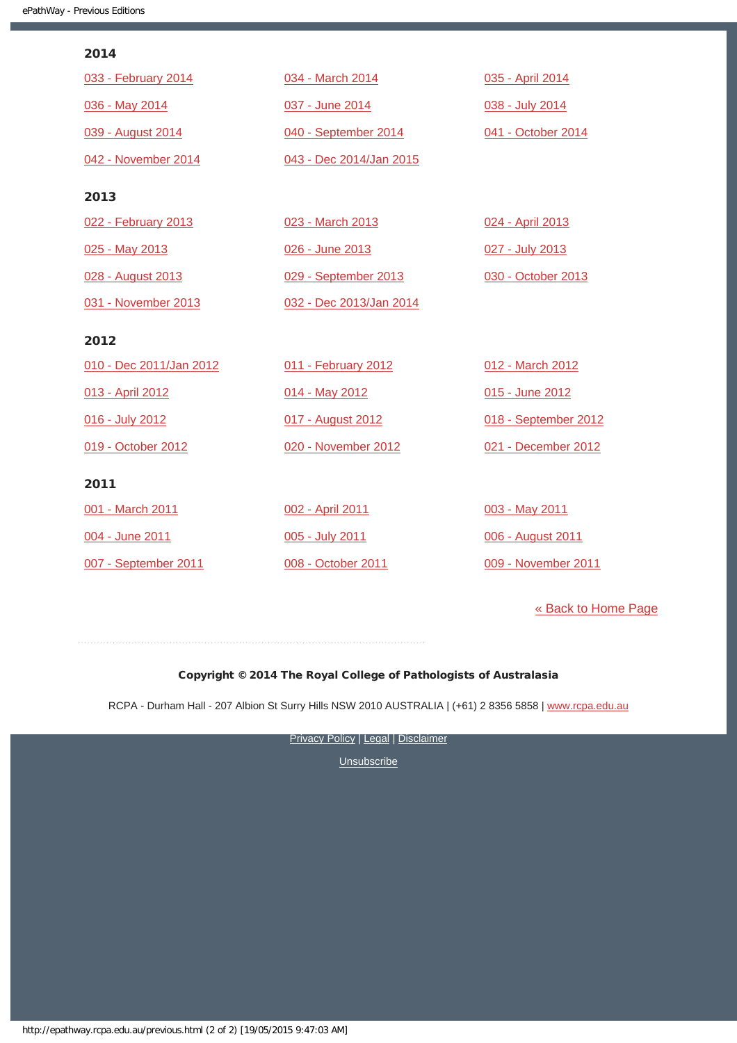#### 2014

| 033 - February 2014 | 034 - March 2014        | 035 - April 2014   |
|---------------------|-------------------------|--------------------|
| 036 - May 2014      | 037 - June 2014         | 038 - July 2014    |
| 039 - August 2014   | 040 - September 2014    | 041 - October 2014 |
| 042 - November 2014 | 043 - Dec 2014/Jan 2015 |                    |
| 2013                |                         |                    |
| 022 - February 2013 | 023 - March 2013        | 024 - April 2013   |
| 025 - May 2013      | 026 - June 2013         | 027 - July 2013    |
| 028 - August 2013   | 029 - September 2013    | 030 - October 2013 |

[032 - Dec 2013/Jan 2014](http://epathway.rcpa.edu.au/previous/032_1213.pdf)

#### 2012

[031 - November 2013](http://epathway.rcpa.edu.au/previous/031_1113.pdf)

| 010 - Dec 2011/Jan 2012 | 011 - February 2012 | 012 - March 2012     |
|-------------------------|---------------------|----------------------|
| 013 - April 2012        | 014 - May 2012      | 015 - June 2012      |
| 016 - July 2012         | 017 - August 2012   | 018 - September 2012 |
| 019 - October 2012      | 020 - November 2012 | 021 - December 2012  |

### 2011

| 001 - March 2011     | 002 - April 2011   | 003 - May 2011      |
|----------------------|--------------------|---------------------|
| 004 - June 2011      | 005 - July 2011    | 006 - August 2011   |
| 007 - September 2011 | 008 - October 2011 | 009 - November 2011 |

[« Back to Home Page](http://epathway.rcpa.edu.au/index.html)

#### Copyright © 2014 The Royal College of Pathologists of Australasia

RCPA - Durham Hall - 207 Albion St Surry Hills NSW 2010 AUSTRALIA | (+61) 2 8356 5858 | [www.rcpa.edu.au](http://www.rcpa.edu.au/)

**[Privacy Policy](http://www.rcpa.edu.au/Content-Library/Privacy.aspx) | [Legal](http://www.rcpa.edu.au/Legal.aspx) | [Disclaimer](http://www.rcpa.edu.au/Disclaimer.aspx)**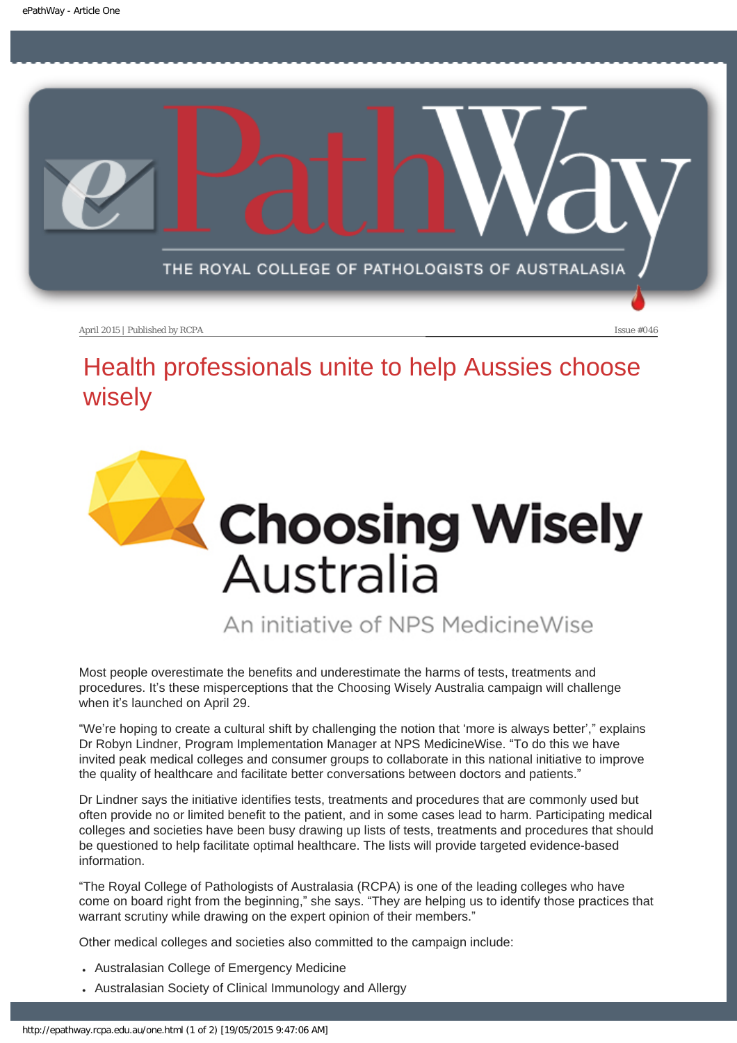<span id="page-5-0"></span>

# Health professionals unite to help Aussies choose wisely



### An initiative of NPS Medicine Wise

Most people overestimate the benefits and underestimate the harms of tests, treatments and procedures. It's these misperceptions that the Choosing Wisely Australia campaign will challenge when it's launched on April 29.

"We're hoping to create a cultural shift by challenging the notion that 'more is always better'," explains Dr Robyn Lindner, Program Implementation Manager at NPS MedicineWise. "To do this we have invited peak medical colleges and consumer groups to collaborate in this national initiative to improve the quality of healthcare and facilitate better conversations between doctors and patients."

Dr Lindner says the initiative identifies tests, treatments and procedures that are commonly used but often provide no or limited benefit to the patient, and in some cases lead to harm. Participating medical colleges and societies have been busy drawing up lists of tests, treatments and procedures that should be questioned to help facilitate optimal healthcare. The lists will provide targeted evidence-based information.

"The Royal College of Pathologists of Australasia (RCPA) is one of the leading colleges who have come on board right from the beginning," she says. "They are helping us to identify those practices that warrant scrutiny while drawing on the expert opinion of their members."

Other medical colleges and societies also committed to the campaign include:

- Australasian College of Emergency Medicine
- Australasian Society of Clinical Immunology and Allergy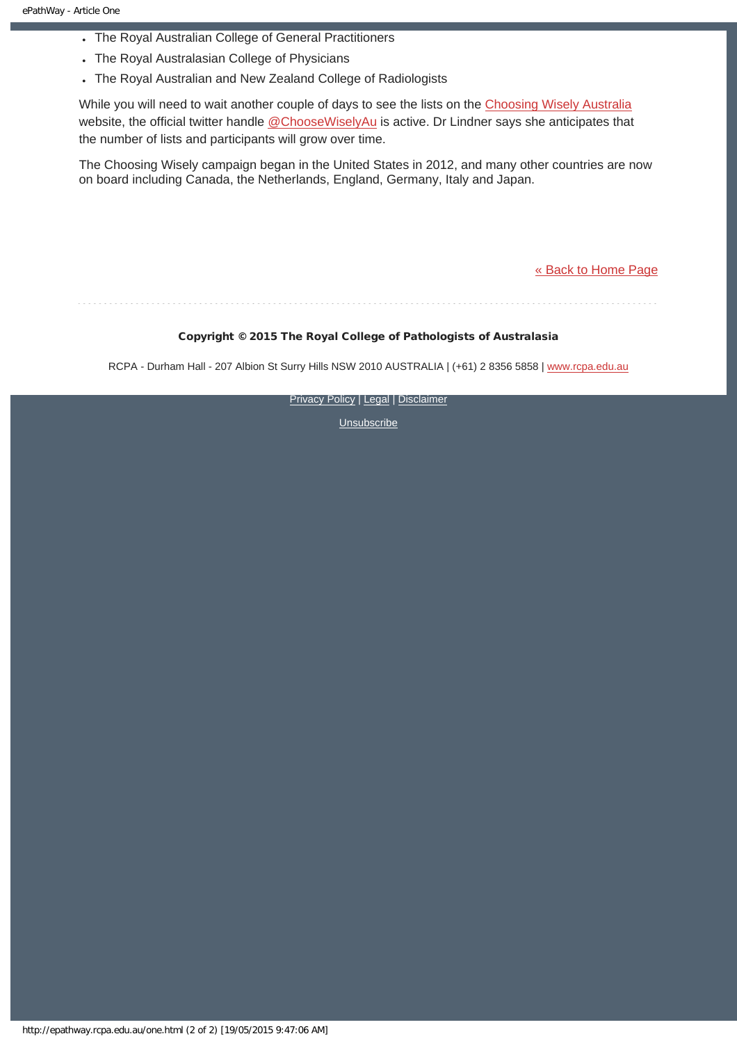- The Royal Australian College of General Practitioners
- The Royal Australasian College of Physicians
- The Royal Australian and New Zealand College of Radiologists

While you will need to wait another couple of days to see the lists on the [Choosing Wisely Australia](http://www.choosingwisely.org.au/cwa/index.html) website, the official twitter handle [@ChooseWiselyAu](https://twitter.com/ChooseWiselyAu) is active. Dr Lindner says she anticipates that the number of lists and participants will grow over time.

The Choosing Wisely campaign began in the United States in 2012, and many other countries are now on board including Canada, the Netherlands, England, Germany, Italy and Japan.

#### [« Back to Home Page](http://epathway.rcpa.edu.au/index.html)

#### Copyright © 2015 The Royal College of Pathologists of Australasia

RCPA - Durham Hall - 207 Albion St Surry Hills NSW 2010 AUSTRALIA | (+61) 2 8356 5858 | [www.rcpa.edu.au](http://www.rcpa.edu.au/)

[Privacy Policy](http://www.rcpa.edu.au/Content-Library/Privacy.aspx) | [Legal](http://www.rcpa.edu.au/Legal.aspx) | [Disclaimer](http://www.rcpa.edu.au/Disclaimer.aspx)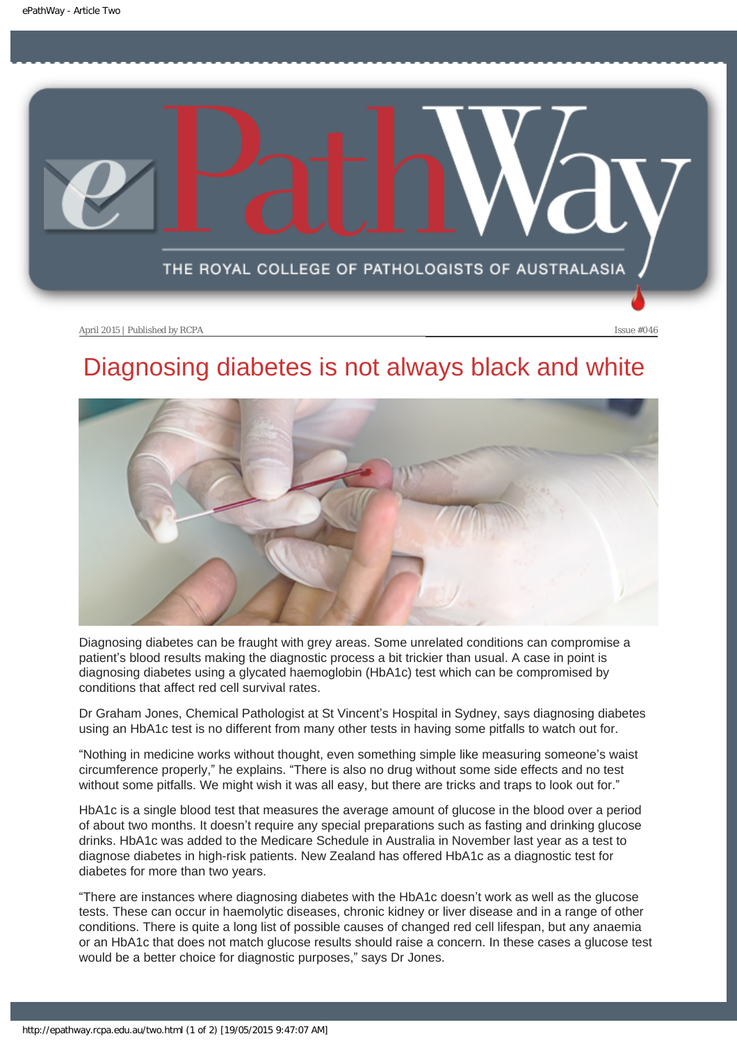<span id="page-7-0"></span>

### Diagnosing diabetes is not always black and white



Diagnosing diabetes can be fraught with grey areas. Some unrelated conditions can compromise a patient's blood results making the diagnostic process a bit trickier than usual. A case in point is diagnosing diabetes using a glycated haemoglobin (HbA1c) test which can be compromised by conditions that affect red cell survival rates.

Dr Graham Jones, Chemical Pathologist at St Vincent's Hospital in Sydney, says diagnosing diabetes using an HbA1c test is no different from many other tests in having some pitfalls to watch out for.

"Nothing in medicine works without thought, even something simple like measuring someone's waist circumference properly," he explains. "There is also no drug without some side effects and no test without some pitfalls. We might wish it was all easy, but there are tricks and traps to look out for."

HbA1c is a single blood test that measures the average amount of glucose in the blood over a period of about two months. It doesn't require any special preparations such as fasting and drinking glucose drinks. HbA1c was added to the Medicare Schedule in Australia in November last year as a test to diagnose diabetes in high-risk patients. New Zealand has offered HbA1c as a diagnostic test for diabetes for more than two years.

"There are instances where diagnosing diabetes with the HbA1c doesn't work as well as the glucose tests. These can occur in haemolytic diseases, chronic kidney or liver disease and in a range of other conditions. There is quite a long list of possible causes of changed red cell lifespan, but any anaemia or an HbA1c that does not match glucose results should raise a concern. In these cases a glucose test would be a better choice for diagnostic purposes," says Dr Jones.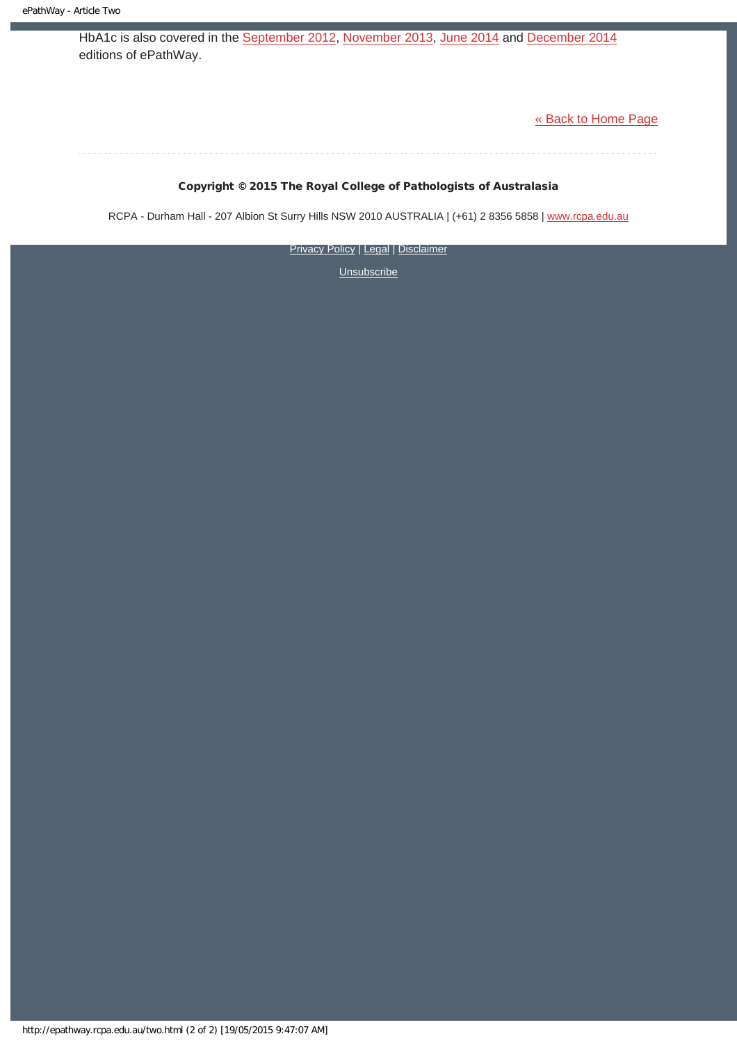HbA1c is also covered in the [September 2012](http://epathway.rcpa.edu.au/previous/018_0912.pdf), [November 2013,](http://epathway.rcpa.edu.au/previous/031_1113.pdf) [June 2014](http://epathway.rcpa.edu.au/previous/037_0614.pdf) and [December 2014](http://epathway.rcpa.edu.au/previous/043_1214.pdf) editions of ePathWay.

#### [« Back to Home Page](http://epathway.rcpa.edu.au/index.html)

### Copyright © 2015 The Royal College of Pathologists of Australasia

RCPA - Durham Hall - 207 Albion St Surry Hills NSW 2010 AUSTRALIA | (+61) 2 8356 5858 | [www.rcpa.edu.au](http://www.rcpa.edu.au/)

**[Privacy Policy](http://www.rcpa.edu.au/Content-Library/Privacy.aspx) | [Legal](http://www.rcpa.edu.au/Legal.aspx) | [Disclaimer](http://www.rcpa.edu.au/Disclaimer.aspx)**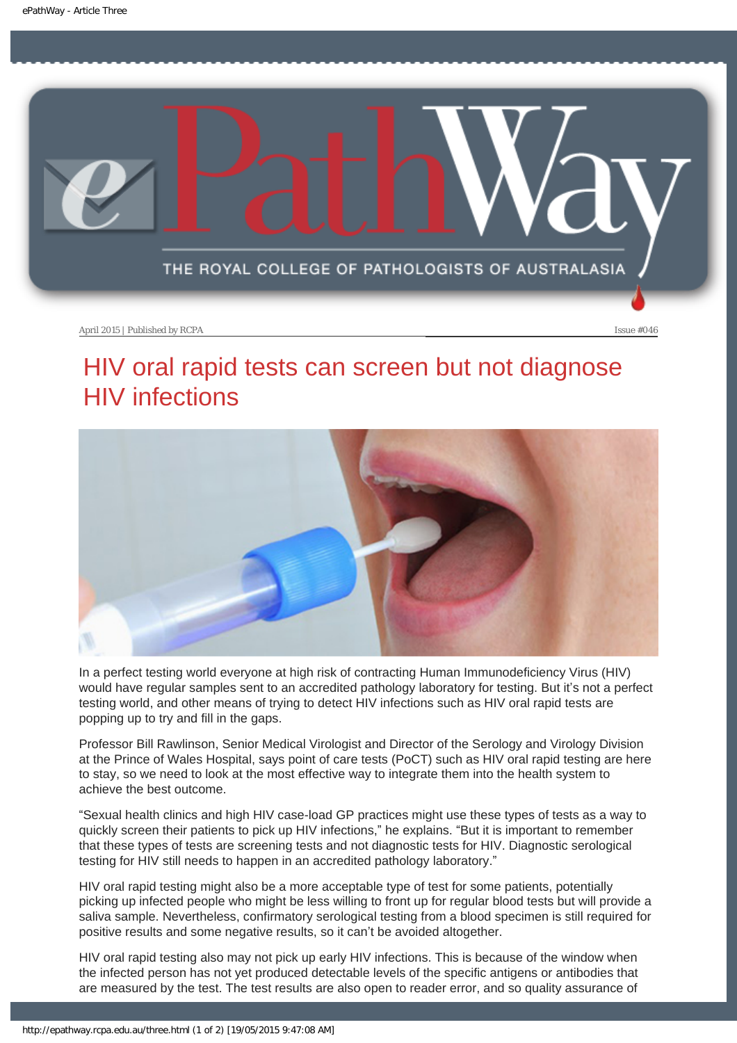<span id="page-9-0"></span>

## HIV oral rapid tests can screen but not diagnose HIV infections



In a perfect testing world everyone at high risk of contracting Human Immunodeficiency Virus (HIV) would have regular samples sent to an accredited pathology laboratory for testing. But it's not a perfect testing world, and other means of trying to detect HIV infections such as HIV oral rapid tests are popping up to try and fill in the gaps.

Professor Bill Rawlinson, Senior Medical Virologist and Director of the Serology and Virology Division at the Prince of Wales Hospital, says point of care tests (PoCT) such as HIV oral rapid testing are here to stay, so we need to look at the most effective way to integrate them into the health system to achieve the best outcome.

"Sexual health clinics and high HIV case-load GP practices might use these types of tests as a way to quickly screen their patients to pick up HIV infections," he explains. "But it is important to remember that these types of tests are screening tests and not diagnostic tests for HIV. Diagnostic serological testing for HIV still needs to happen in an accredited pathology laboratory."

HIV oral rapid testing might also be a more acceptable type of test for some patients, potentially picking up infected people who might be less willing to front up for regular blood tests but will provide a saliva sample. Nevertheless, confirmatory serological testing from a blood specimen is still required for positive results and some negative results, so it can't be avoided altogether.

HIV oral rapid testing also may not pick up early HIV infections. This is because of the window when the infected person has not yet produced detectable levels of the specific antigens or antibodies that are measured by the test. The test results are also open to reader error, and so quality assurance of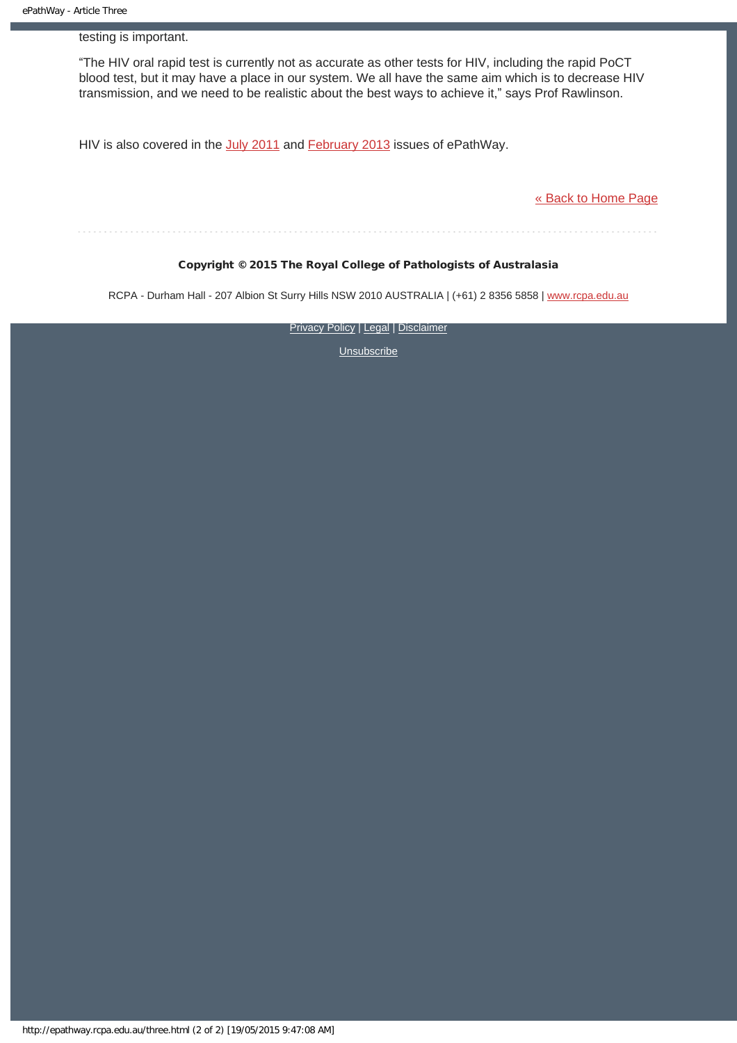#### testing is important.

"The HIV oral rapid test is currently not as accurate as other tests for HIV, including the rapid PoCT blood test, but it may have a place in our system. We all have the same aim which is to decrease HIV transmission, and we need to be realistic about the best ways to achieve it," says Prof Rawlinson.

HIV is also covered in the [July 2011](http://epathway.rcpa.edu.au/previous/005_0711.pdf) and [February 2013](http://epathway.rcpa.edu.au/previous/022_0213.pdf) issues of ePathWay.

[« Back to Home Page](http://epathway.rcpa.edu.au/index.html)

Copyright © 2015 The Royal College of Pathologists of Australasia

RCPA - Durham Hall - 207 Albion St Surry Hills NSW 2010 AUSTRALIA | (+61) 2 8356 5858 | [www.rcpa.edu.au](http://www.rcpa.edu.au/)

**[Privacy Policy](http://www.rcpa.edu.au/Content-Library/Privacy.aspx) | [Legal](http://www.rcpa.edu.au/Legal.aspx) | [Disclaimer](http://www.rcpa.edu.au/Disclaimer.aspx)**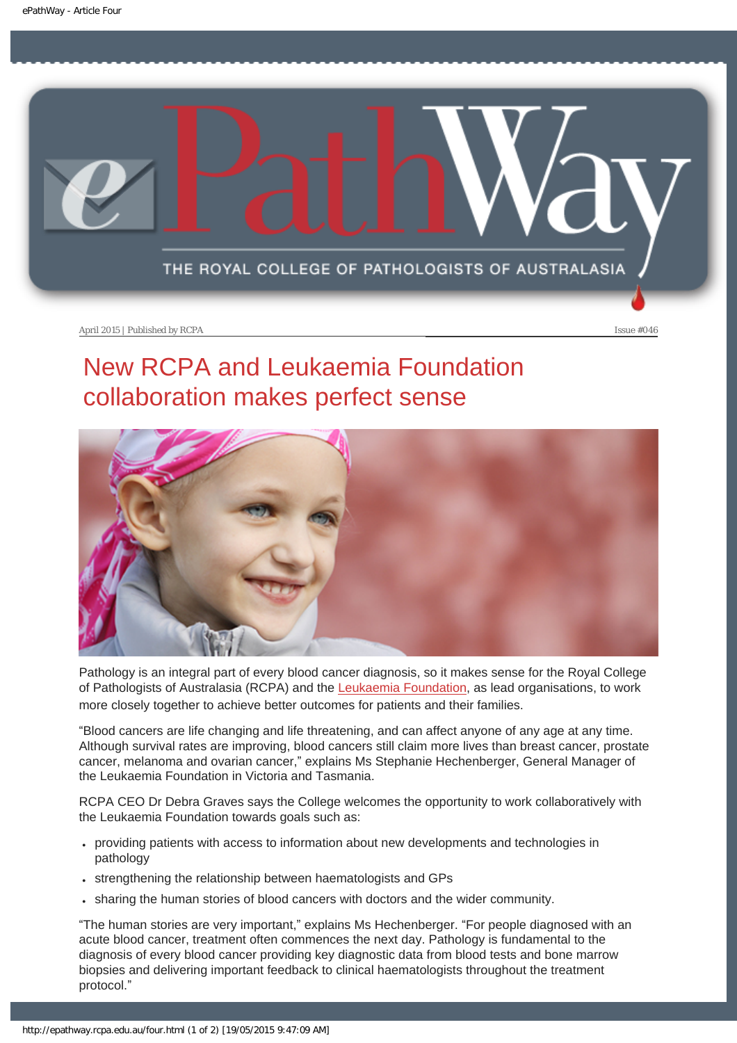<span id="page-11-0"></span>

# New RCPA and Leukaemia Foundation collaboration makes perfect sense



Pathology is an integral part of every blood cancer diagnosis, so it makes sense for the Royal College of Pathologists of Australasia (RCPA) and the [Leukaemia Foundation,](http://www.leukaemia.org.au/) as lead organisations, to work more closely together to achieve better outcomes for patients and their families.

"Blood cancers are life changing and life threatening, and can affect anyone of any age at any time. Although survival rates are improving, blood cancers still claim more lives than breast cancer, prostate cancer, melanoma and ovarian cancer," explains Ms Stephanie Hechenberger, General Manager of the Leukaemia Foundation in Victoria and Tasmania.

RCPA CEO Dr Debra Graves says the College welcomes the opportunity to work collaboratively with the Leukaemia Foundation towards goals such as:

- providing patients with access to information about new developments and technologies in pathology
- strengthening the relationship between haematologists and GPs
- sharing the human stories of blood cancers with doctors and the wider community.

"The human stories are very important," explains Ms Hechenberger. "For people diagnosed with an acute blood cancer, treatment often commences the next day. Pathology is fundamental to the diagnosis of every blood cancer providing key diagnostic data from blood tests and bone marrow biopsies and delivering important feedback to clinical haematologists throughout the treatment protocol."